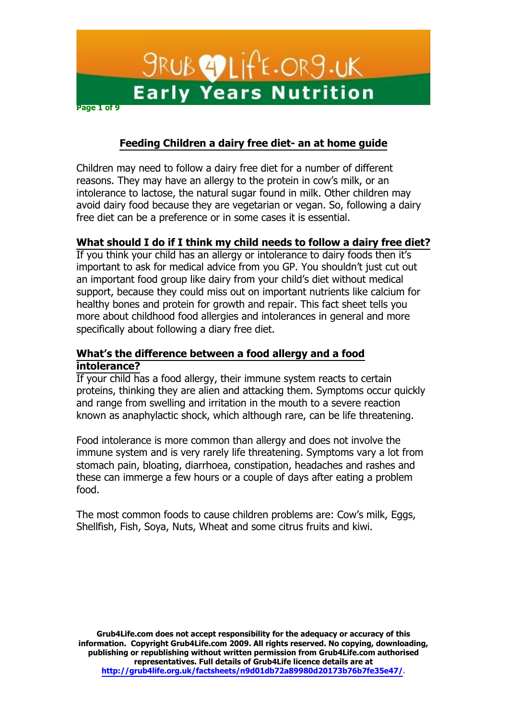

# **Feeding Children a dairy free diet- an at home guide**

Children may need to follow a dairy free diet for a number of different reasons. They may have an allergy to the protein in cow's milk, or an intolerance to lactose, the natural sugar found in milk. Other children may avoid dairy food because they are vegetarian or vegan. So, following a dairy free diet can be a preference or in some cases it is essential.

# **What should I do if I think my child needs to follow a dairy free diet?**

If you think your child has an allergy or intolerance to dairy foods then it's important to ask for medical advice from you GP. You shouldn't just cut out an important food group like dairy from your child's diet without medical support, because they could miss out on important nutrients like calcium for healthy bones and protein for growth and repair. This fact sheet tells you more about childhood food allergies and intolerances in general and more specifically about following a diary free diet.

# **What¶s the difference between a food allergy and a food intolerance?**

If your child has a food allergy, their immune system reacts to certain proteins, thinking they are alien and attacking them. Symptoms occur quickly and range from swelling and irritation in the mouth to a severe reaction known as anaphylactic shock, which although rare, can be life threatening.

Food intolerance is more common than allergy and does not involve the immune system and is very rarely life threatening. Symptoms vary a lot from stomach pain, bloating, diarrhoea, constipation, headaches and rashes and these can immerge a few hours or a couple of days after eating a problem food.

The most common foods to cause children problems are: Cow's milk, Eggs, Shellfish, Fish, Soya, Nuts, Wheat and some citrus fruits and kiwi.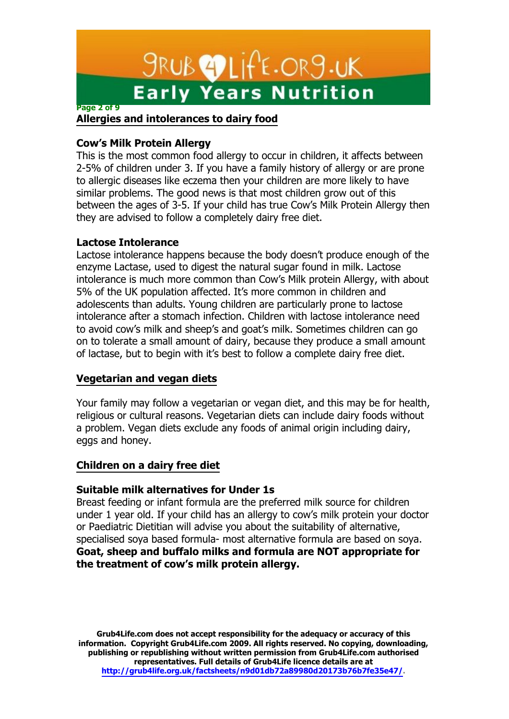# *SRUB* **EDLIFE.ORS.UK Early Years Nutrition**

#### **Page 2 of 9**

## **Allergies and intolerances to dairy food**

## **Cow¶s Milk Protein Allergy**

This is the most common food allergy to occur in children, it affects between 2-5% of children under 3. If you have a family history of allergy or are prone to allergic diseases like eczema then your children are more likely to have similar problems. The good news is that most children grow out of this between the ages of 3-5. If your child has true Cow's Milk Protein Allergy then they are advised to follow a completely dairy free diet.

## **Lactose Intolerance**

Lactose intolerance happens because the body doesn't produce enough of the enzyme Lactase, used to digest the natural sugar found in milk. Lactose intolerance is much more common than Cow's Milk protein Allergy, with about 5% of the UK population affected. It's more common in children and adolescents than adults. Young children are particularly prone to lactose intolerance after a stomach infection. Children with lactose intolerance need to avoid cow's milk and sheep's and goat's milk. Sometimes children can go on to tolerate a small amount of dairy, because they produce a small amount of lactase, but to begin with it's best to follow a complete dairy free diet.

## **Vegetarian and vegan diets**

Your family may follow a vegetarian or vegan diet, and this may be for health, religious or cultural reasons. Vegetarian diets can include dairy foods without a problem. Vegan diets exclude any foods of animal origin including dairy, eggs and honey.

# **Children on a dairy free diet**

## **Suitable milk alternatives for Under 1s**

Breast feeding or infant formula are the preferred milk source for children under 1 year old. If your child has an allergy to cow's milk protein your doctor or Paediatric Dietitian will advise you about the suitability of alternative, specialised soya based formula- most alternative formula are based on soya. **Goat, sheep and buffalo milks and formula are NOT appropriate for the treatment of cow¶s milk protein allergy.**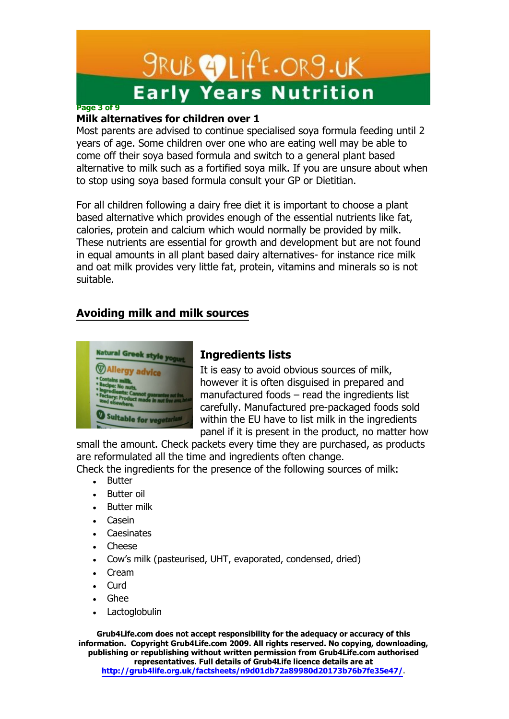# **SRUB OLITE.ORS.UK Early Years Nutrition**

## **Page 3 of 9**

# **Milk alternatives for children over 1**

Most parents are advised to continue specialised soya formula feeding until 2 years of age. Some children over one who are eating well may be able to come off their soya based formula and switch to a general plant based alternative to milk such as a fortified soya milk. If you are unsure about when to stop using soya based formula consult your GP or Dietitian.

For all children following a dairy free diet it is important to choose a plant based alternative which provides enough of the essential nutrients like fat, calories, protein and calcium which would normally be provided by milk. These nutrients are essential for growth and development but are not found in equal amounts in all plant based dairy alternatives- for instance rice milk and oat milk provides very little fat, protein, vitamins and minerals so is not suitable.

# **Avoiding milk and milk sources**



# **Ingredients lists**

It is easy to avoid obvious sources of milk, however it is often disguised in prepared and manufactured foods  $-$  read the ingredients list carefully. Manufactured pre-packaged foods sold within the EU have to list milk in the ingredients panel if it is present in the product, no matter how

small the amount. Check packets every time they are purchased, as products are reformulated all the time and ingredients often change.

Check the ingredients for the presence of the following sources of milk:

- Butter
- Butter oil
- **Butter milk**
- Casein
- **Caesinates**
- **Cheese**
- Cow's milk (pasteurised, UHT, evaporated, condensed, dried)
- Cream
- Curd
- Ghee
- **Lactoglobulin**

**Grub4Life.com does not accept responsibility for the adequacy or accuracy of this information. Copyright Grub4Life.com 2009. All rights reserved. No copying, downloading, publishing or republishing without written permission from Grub4Life.com authorised representatives. Full details of Grub4Life licence details are at** 

**[http://grub4life.org.uk/factsheets/n9d01db72a89980d20173b76b7fe35e47/.](http://grub4life.org.uk/factsheets/n9d01db72a89980d20173b76b7fe35e47/)**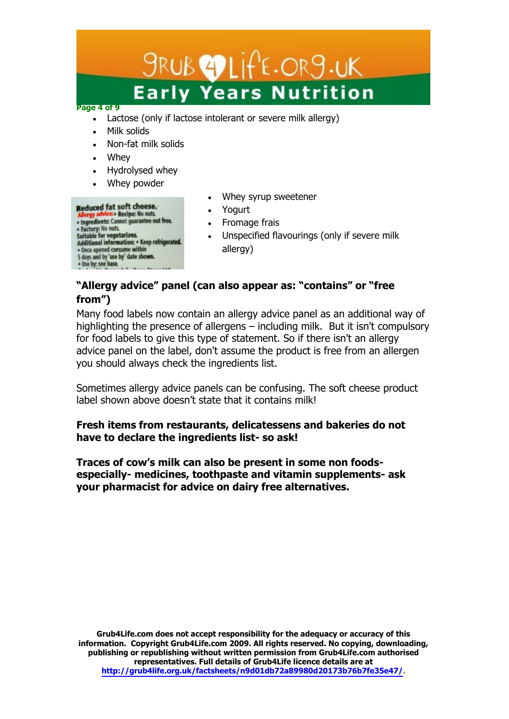# $9RUB$   $27LifE.OR9.UK$ **Early Years Nutrition**

#### **Page 4 of 9**

- Lactose (only if lactose intolerant or severe milk allergy)
- Milk solids
- Non-fat milk solids
- Whey
- Hydrolysed whey
- Whey powder

## Reduced fat soft cheese.

- Allergy advice: Recipe: No nuts.<br>• Ingredients: Cannot guarantee nut free. • Factory: No nuts.<br>Suitable for vegetarians.<br>Additional information: • Keep refrigerated. • Once opened consume within<br>5 days and by 'use by' date shown. . Use by: see base.
- Whey syrup sweetener
- Yogurt
- Fromage frais
- Unspecified flavourings (only if severe milk allergy)

# **³Allergy advice´ panel (can also appear as: ³contains´ or ³free from´)**

Many food labels now contain an allergy advice panel as an additional way of highlighting the presence of allergens  $-$  including milk. But it isn't compulsory for food labels to give this type of statement. So if there isn't an allergy advice panel on the label, don't assume the product is free from an allergen you should always check the ingredients list.

Sometimes allergy advice panels can be confusing. The soft cheese product label shown above doesn't state that it contains milk!

# **Fresh items from restaurants, delicatessens and bakeries do not have to declare the ingredients list- so ask!**

Traces of cow's milk can also be present in some non foods**especially- medicines, toothpaste and vitamin supplements- ask your pharmacist for advice on dairy free alternatives.**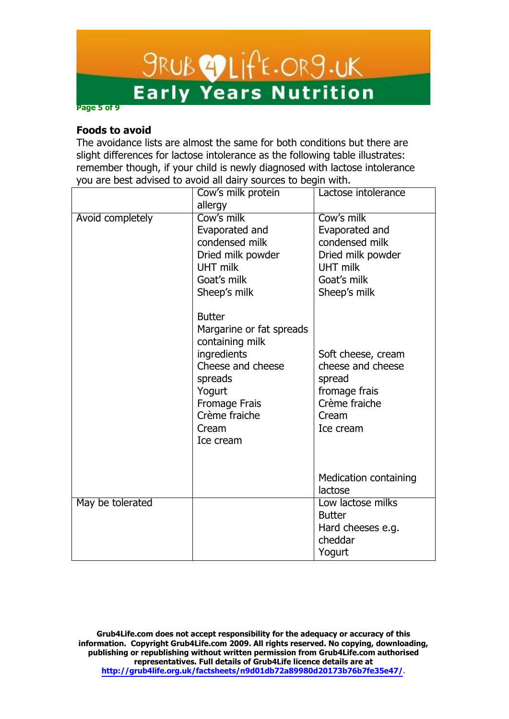# *SRUB OLIFE.ORS.UK*<br>Early Years Nutrition

**Page 5 of 9**

## **Foods to avoid**

The avoidance lists are almost the same for both conditions but there are slight differences for lactose intolerance as the following table illustrates: remember though, if your child is newly diagnosed with lactose intolerance you are best advised to avoid all dairy sources to begin with.

|                  | Cow's milk protein                                                                                                                                                            | Lactose intolerance                                                                                                   |
|------------------|-------------------------------------------------------------------------------------------------------------------------------------------------------------------------------|-----------------------------------------------------------------------------------------------------------------------|
|                  | allergy                                                                                                                                                                       |                                                                                                                       |
| Avoid completely | Cow's milk<br>Evaporated and<br>condensed milk<br>Dried milk powder<br><b>UHT milk</b><br>Goat's milk<br>Sheep's milk                                                         | Cow's milk<br>Evaporated and<br>condensed milk<br>Dried milk powder<br><b>UHT milk</b><br>Goat's milk<br>Sheep's milk |
|                  | <b>Butter</b><br>Margarine or fat spreads<br>containing milk<br>ingredients<br>Cheese and cheese<br>spreads<br>Yogurt<br>Fromage Frais<br>Crème fraiche<br>Cream<br>Ice cream | Soft cheese, cream<br>cheese and cheese<br>spread<br>fromage frais<br>Crème fraiche<br>Cream<br>Ice cream             |
|                  |                                                                                                                                                                               | <b>Medication containing</b><br>lactose                                                                               |
| May be tolerated |                                                                                                                                                                               | Low lactose milks<br><b>Butter</b><br>Hard cheeses e.g.<br>cheddar<br>Yogurt                                          |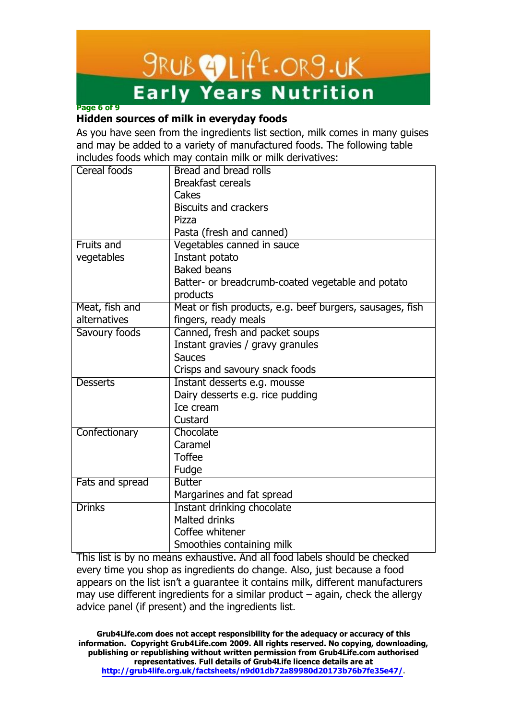# *SRUB* **2** LIFE.ORS.UK **Early Years Nutrition**

# **Page 6 of 9**

# **Hidden sources of milk in everyday foods**

As you have seen from the ingredients list section, milk comes in many guises and may be added to a variety of manufactured foods. The following table includes foods which may contain milk or milk derivatives:

| Cereal foods    | Bread and bread rolls                                    |  |
|-----------------|----------------------------------------------------------|--|
|                 | <b>Breakfast cereals</b>                                 |  |
|                 | Cakes                                                    |  |
|                 | <b>Biscuits and crackers</b>                             |  |
|                 | Pizza                                                    |  |
|                 | Pasta (fresh and canned)                                 |  |
| Fruits and      | Vegetables canned in sauce                               |  |
| vegetables      | Instant potato                                           |  |
|                 | <b>Baked beans</b>                                       |  |
|                 | Batter- or breadcrumb-coated vegetable and potato        |  |
|                 | products                                                 |  |
| Meat, fish and  | Meat or fish products, e.g. beef burgers, sausages, fish |  |
| alternatives    | fingers, ready meals                                     |  |
| Savoury foods   | Canned, fresh and packet soups                           |  |
|                 | Instant gravies / gravy granules                         |  |
|                 | <b>Sauces</b>                                            |  |
|                 | Crisps and savoury snack foods                           |  |
| <b>Desserts</b> | Instant desserts e.g. mousse                             |  |
|                 | Dairy desserts e.g. rice pudding                         |  |
|                 | Ice cream                                                |  |
|                 | Custard                                                  |  |
| Confectionary   | Chocolate                                                |  |
|                 | Caramel                                                  |  |
|                 | <b>Toffee</b>                                            |  |
|                 | Fudge                                                    |  |
| Fats and spread | <b>Butter</b>                                            |  |
|                 | Margarines and fat spread                                |  |
| <b>Drinks</b>   | Instant drinking chocolate                               |  |
|                 | <b>Malted drinks</b>                                     |  |
|                 | Coffee whitener                                          |  |
|                 | Smoothies containing milk                                |  |

This list is by no means exhaustive. And all food labels should be checked every time you shop as ingredients do change. Also, just because a food appears on the list isn't a guarantee it contains milk, different manufacturers may use different ingredients for a similar product  $-$  again, check the allergy advice panel (if present) and the ingredients list.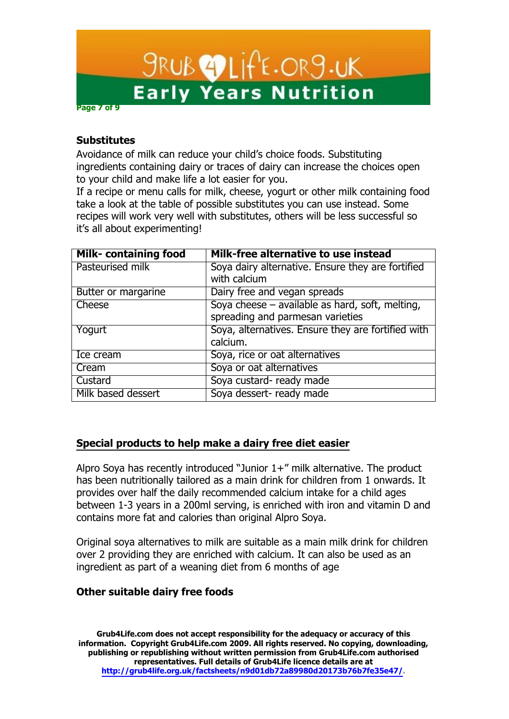# **SRUB OLITE.ORS.UK Early Years Nutrition Page 7 of 9**

**Substitutes**

Avoidance of milk can reduce your child's choice foods. Substituting ingredients containing dairy or traces of dairy can increase the choices open to your child and make life a lot easier for you.

If a recipe or menu calls for milk, cheese, yogurt or other milk containing food take a look at the table of possible substitutes you can use instead. Some recipes will work very well with substitutes, others will be less successful so it's all about experimenting!

| <b>Milk- containing food</b> | Milk-free alternative to use instead               |
|------------------------------|----------------------------------------------------|
| Pasteurised milk             | Soya dairy alternative. Ensure they are fortified  |
|                              | with calcium                                       |
| Butter or margarine          | Dairy free and vegan spreads                       |
| Cheese                       | Soya cheese - available as hard, soft, melting,    |
|                              | spreading and parmesan varieties                   |
| Yogurt                       | Soya, alternatives. Ensure they are fortified with |
|                              | calcium.                                           |
| Ice cream                    | Soya, rice or oat alternatives                     |
| Cream                        | Soya or oat alternatives                           |
| Custard                      | Soya custard- ready made                           |
| Milk based dessert           | Soya dessert- ready made                           |

# **Special products to help make a dairy free diet easier**

Alpro Soya has recently introduced "Junior  $1+$ " milk alternative. The product has been nutritionally tailored as a main drink for children from 1 onwards. It provides over half the daily recommended calcium intake for a child ages between 1-3 years in a 200ml serving, is enriched with iron and vitamin D and contains more fat and calories than original Alpro Soya.

Original soya alternatives to milk are suitable as a main milk drink for children over 2 providing they are enriched with calcium. It can also be used as an ingredient as part of a weaning diet from 6 months of age

## **Other suitable dairy free foods**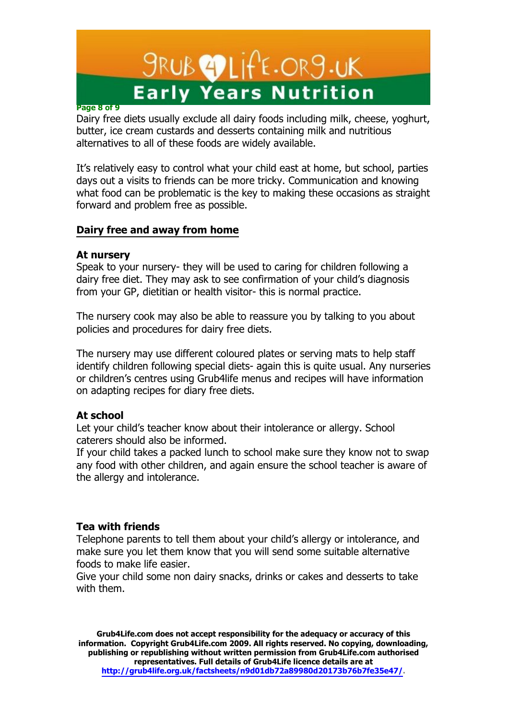# *SRUB* **2** LIFE.ORS.UK **Early Years Nutrition**

#### **Page 8 of 9**

Dairy free diets usually exclude all dairy foods including milk, cheese, yoghurt, butter, ice cream custards and desserts containing milk and nutritious alternatives to all of these foods are widely available.

It's relatively easy to control what your child east at home, but school, parties days out a visits to friends can be more tricky. Communication and knowing what food can be problematic is the key to making these occasions as straight forward and problem free as possible.

# **Dairy free and away from home**

#### **At nursery**

Speak to your nursery- they will be used to caring for children following a dairy free diet. They may ask to see confirmation of your child's diagnosis from your GP, dietitian or health visitor- this is normal practice.

The nursery cook may also be able to reassure you by talking to you about policies and procedures for dairy free diets.

The nursery may use different coloured plates or serving mats to help staff identify children following special diets- again this is quite usual. Any nurseries or children's centres using Grub4life menus and recipes will have information on adapting recipes for diary free diets.

## **At school**

Let your child's teacher know about their intolerance or allergy. School caterers should also be informed.

If your child takes a packed lunch to school make sure they know not to swap any food with other children, and again ensure the school teacher is aware of the allergy and intolerance.

#### **Tea with friends**

Telephone parents to tell them about your child's allergy or intolerance, and make sure you let them know that you will send some suitable alternative foods to make life easier.

Give your child some non dairy snacks, drinks or cakes and desserts to take with them.